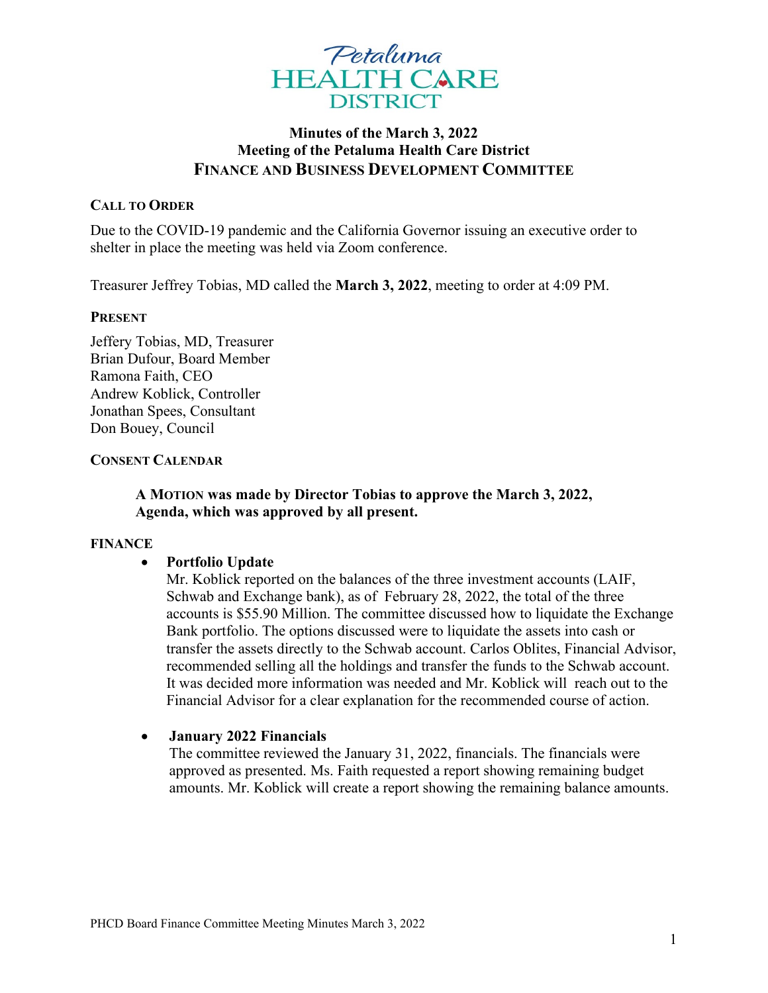

# **Minutes of the March 3, 2022 Meeting of the Petaluma Health Care District FINANCE AND BUSINESS DEVELOPMENT COMMITTEE**

### **CALL TO ORDER**

Due to the COVID-19 pandemic and the California Governor issuing an executive order to shelter in place the meeting was held via Zoom conference.

Treasurer Jeffrey Tobias, MD called the **March 3, 2022**, meeting to order at 4:09 PM.

#### **PRESENT**

Jeffery Tobias, MD, Treasurer Brian Dufour, Board Member Ramona Faith, CEO Andrew Koblick, Controller Jonathan Spees, Consultant Don Bouey, Council

#### **CONSENT CALENDAR**

# **A MOTION was made by Director Tobias to approve the March 3, 2022, Agenda, which was approved by all present.**

#### **FINANCE**

## • **Portfolio Update**

Mr. Koblick reported on the balances of the three investment accounts (LAIF, Schwab and Exchange bank), as of February 28, 2022, the total of the three accounts is \$55.90 Million. The committee discussed how to liquidate the Exchange Bank portfolio. The options discussed were to liquidate the assets into cash or transfer the assets directly to the Schwab account. Carlos Oblites, Financial Advisor, recommended selling all the holdings and transfer the funds to the Schwab account. It was decided more information was needed and Mr. Koblick will reach out to the Financial Advisor for a clear explanation for the recommended course of action.

## • **January 2022 Financials**

The committee reviewed the January 31, 2022, financials. The financials were approved as presented. Ms. Faith requested a report showing remaining budget amounts. Mr. Koblick will create a report showing the remaining balance amounts.